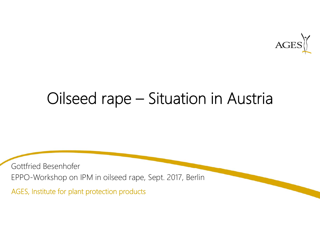

# Oilseed rape – Situation in Austria

Gottfried Besenhofer EPPO-Workshop on IPM in oilseed rape, Sept. 2017, Berlin

AGES, Institute for plant protection products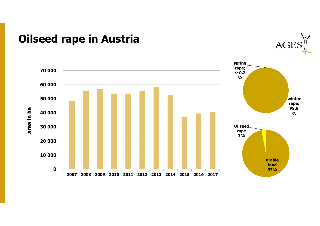## **Oilseed rape in Austria**



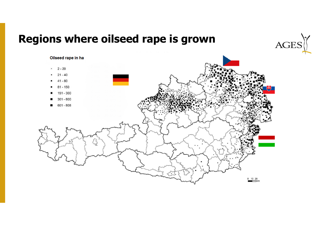## **Regions where oilseed rape is grown**



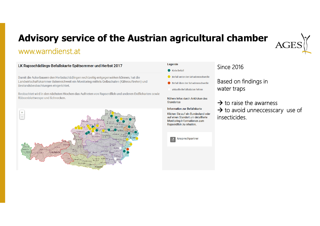# **Advisory service of the Austrian agricultural chamber**

### www.warndienst.at

Bestandsbeobachtungen eingerichtet.

Rübsenblattwespe und Schnecken.

#### [+ L. Hallein Kitzbü Schwaz Harth Innsbruck **Soder** spittal/Drau G Feldkirchen Hermagor Willach Klager

LK Rapsschädlings-Befallskarte Spätsommer und Herbst 2017

Damit die Ackerbauern den Herbstschädlingen rechtzeitig entgegenwirken können, hat die Landwirtschaftskammer österreichweit ein Monitoring mittels Gelbschalen (Käferauftreten) und

Beobachtet wird in den nächsten Wochen das Auftreten von Rapserdfloh und anderen Erdfloharten sowie

#### Legende

- Kein Befall
- Befall unter der Schadensschwelle
- Befall über der Schadensschwelle
- aktuelle Befallsdaten fehlen

Nähere Infos durch Anklicken des Standortes

#### **Information zur Befallskarte**

Klicken Sie auf ein Bundesland oder auf einen Standort um detaillierte Monitoring-Informationen zum Rapserdfloh zu erhalten.



Based on findings in water traps

Since 2016

 $\rightarrow$  to raise the awarness  $\rightarrow$  to avoid unneccesscary use of insecticides.

AG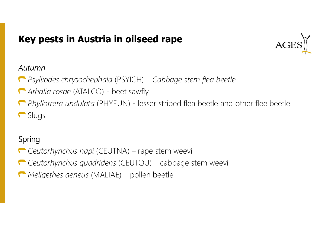## **Key pests in Austria in oilseed rape**



### *Autumn*

- *Psylliodes chrysochephala* (PSYICH) *Cabbage stem flea beetle*
- *Athalia rosae* (ATALCO) beet sawfly
- *Phyllotreta undulata* (PHYEUN) lesser striped flea beetle and other flee beetle **C** Slugs

## Spring

- *Ceutorhynchus napi* (CEUTNA) rape stem weevil
- *Ceutorhynchus quadridens* (CEUTQU) cabbage stem weevil
- *Meligethes aeneus* (MALIAE) pollen beetle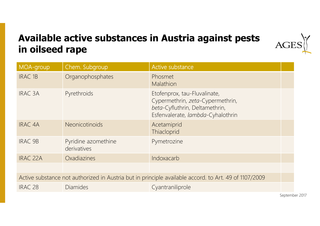## **Available active substances in Austria against pests in oilseed rape**



September 2017